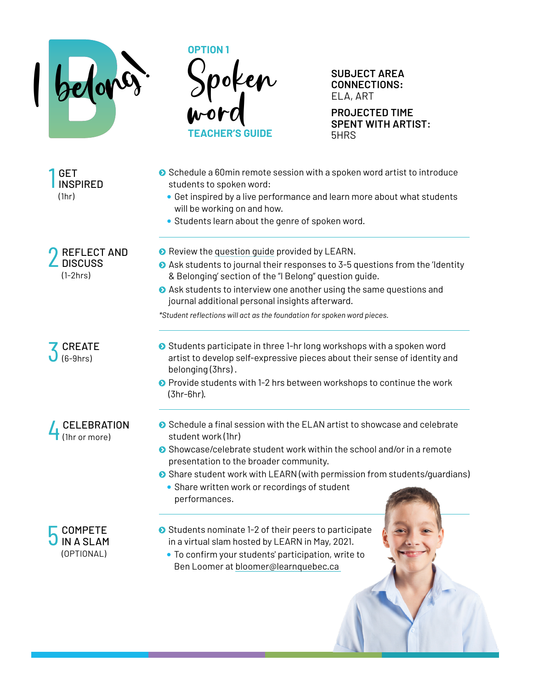



**SUBJECT AREA CONNECTIONS:**  ELA, ART

**PROJECTED TIME SPENT WITH ARTIST**: 5HRS

1 **GET INSPIRED** (1hr) **O** REFLECT AND **DISCUSS** (1-2hrs) **Z** CREATE  $(6-9$ hrs) 4 CELEBRATION (1hr or more) **●** Schedule a 60min remote session with a spoken word artist to introduce students to spoken word: • Get inspired by a live performance and learn more about what students will be working on and how. • Students learn about the genre of spoken word. **◆** Review the [question guide](https://hosted.learnquebec.ca/belonging/wp-content/uploads/sites/25/2020/09/Question-Prompts-for-Students-I-Belong.pdf) provided by LEARN. ■ Ask students to journal their responses to 3-5 questions from the 'Identity & Belonging' section of the "I Belong" question guide. Ask students to interview one another using the same questions and journal additional personal insights afterward. *\*Student reflections will act as the foundation for spoken word pieces.* ● Students participate in three 1-hr long workshops with a spoken word artist to develop self-expressive pieces about their sense of identity and belonging (3hrs) . ● Provide students with 1-2 hrs between workshops to continue the work (3hr-6hr).  $\bullet$  Schedule a final session with the ELAN artist to showcase and celebrate student work (1hr) ● Showcase/celebrate student work within the school and/or in a remote presentation to the broader community. Share student work with LEARN (with permission from students/guardians) • Share written work or recordings of student performances.



- $\bullet$  Students nominate 1-2 of their peers to participate in a virtual slam hosted by LEARN in May, 2021.
	- To confirm your students' participation, write to Ben Loomer at [bloomer@learnquebec.ca](mailto:bloomer@learnquebec.ca)